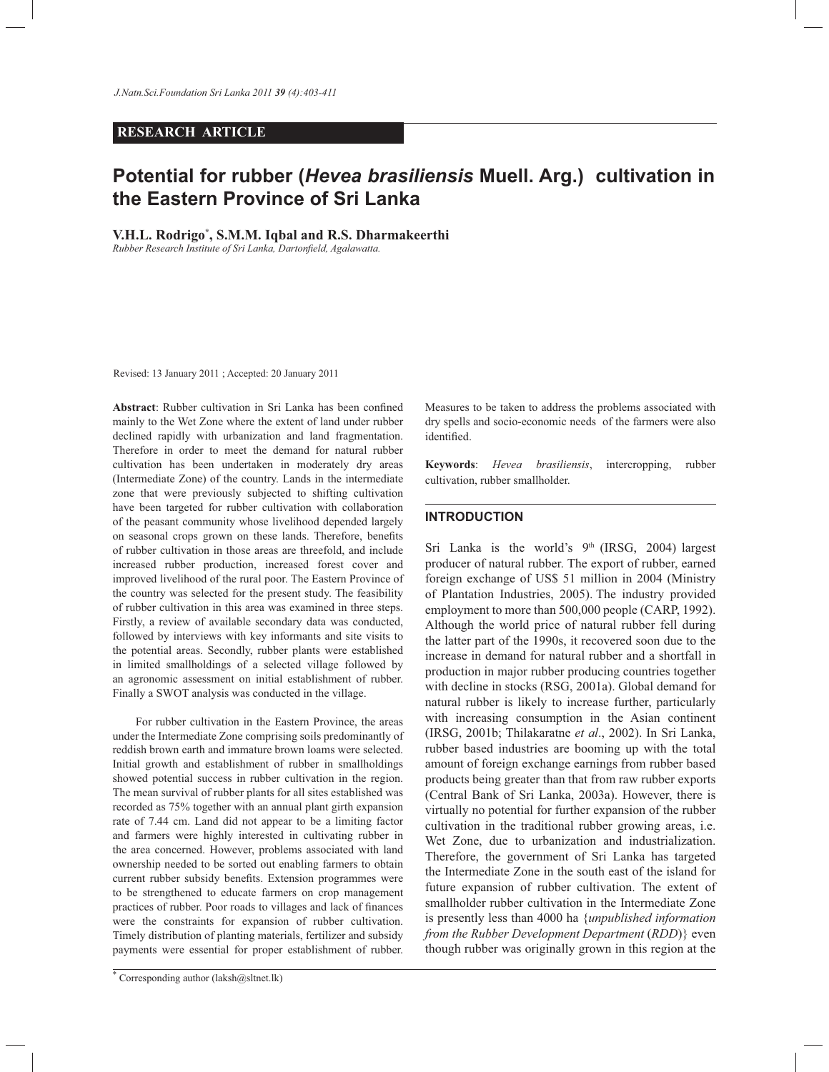# **RESEARCH ARTICLE**

# **Potential for rubber (***Hevea brasiliensis* **Muell. Arg.) cultivation in the Eastern Province of Sri Lanka**

**V.H.L. Rodrigo\* , S.M.M. Iqbal and R.S. Dharmakeerthi**

*Rubber Research Institute of Sri Lanka, Dartonfield, Agalawatta.* 

Revised: 13 January 2011 ; Accepted: 20 January 2011

**Abstract**: Rubber cultivation in Sri Lanka has been confined mainly to the Wet Zone where the extent of land under rubber declined rapidly with urbanization and land fragmentation. Therefore in order to meet the demand for natural rubber cultivation has been undertaken in moderately dry areas (Intermediate Zone) of the country. Lands in the intermediate zone that were previously subjected to shifting cultivation have been targeted for rubber cultivation with collaboration of the peasant community whose livelihood depended largely on seasonal crops grown on these lands. Therefore, benefits of rubber cultivation in those areas are threefold, and include increased rubber production, increased forest cover and improved livelihood of the rural poor. The Eastern Province of the country was selected for the present study. The feasibility of rubber cultivation in this area was examined in three steps. Firstly, a review of available secondary data was conducted, followed by interviews with key informants and site visits to the potential areas. Secondly, rubber plants were established in limited smallholdings of a selected village followed by an agronomic assessment on initial establishment of rubber. Finally a SWOT analysis was conducted in the village.

 For rubber cultivation in the Eastern Province, the areas under the Intermediate Zone comprising soils predominantly of reddish brown earth and immature brown loams were selected. Initial growth and establishment of rubber in smallholdings showed potential success in rubber cultivation in the region. The mean survival of rubber plants for all sites established was recorded as 75% together with an annual plant girth expansion rate of 7.44 cm. Land did not appear to be a limiting factor and farmers were highly interested in cultivating rubber in the area concerned. However, problems associated with land ownership needed to be sorted out enabling farmers to obtain current rubber subsidy benefits. Extension programmes were to be strengthened to educate farmers on crop management practices of rubber. Poor roads to villages and lack of finances were the constraints for expansion of rubber cultivation. Timely distribution of planting materials, fertilizer and subsidy payments were essential for proper establishment of rubber.

Measures to be taken to address the problems associated with dry spells and socio-economic needs of the farmers were also identified.

**Keywords**: *Hevea brasiliensis*, intercropping, rubber cultivation, rubber smallholder.

# **INTRODUCTION**

Sri Lanka is the world's  $9<sup>th</sup>$  (IRSG, 2004) largest producer of natural rubber. The export of rubber, earned foreign exchange of US\$ 51 million in 2004 (Ministry of Plantation Industries, 2005). The industry provided employment to more than 500,000 people (CARP, 1992). Although the world price of natural rubber fell during the latter part of the 1990s, it recovered soon due to the increase in demand for natural rubber and a shortfall in production in major rubber producing countries together with decline in stocks (RSG, 2001a). Global demand for natural rubber is likely to increase further, particularly with increasing consumption in the Asian continent (IRSG, 2001b; Thilakaratne *et al*., 2002). In Sri Lanka, rubber based industries are booming up with the total amount of foreign exchange earnings from rubber based products being greater than that from raw rubber exports (Central Bank of Sri Lanka, 2003a). However, there is virtually no potential for further expansion of the rubber cultivation in the traditional rubber growing areas, i.e. Wet Zone, due to urbanization and industrialization. Therefore, the government of Sri Lanka has targeted the Intermediate Zone in the south east of the island for future expansion of rubber cultivation. The extent of smallholder rubber cultivation in the Intermediate Zone is presently less than 4000 ha {*unpublished information from the Rubber Development Department* (*RDD*)} even though rubber was originally grown in this region at the

<sup>\*</sup> Corresponding author (laksh@sltnet.lk)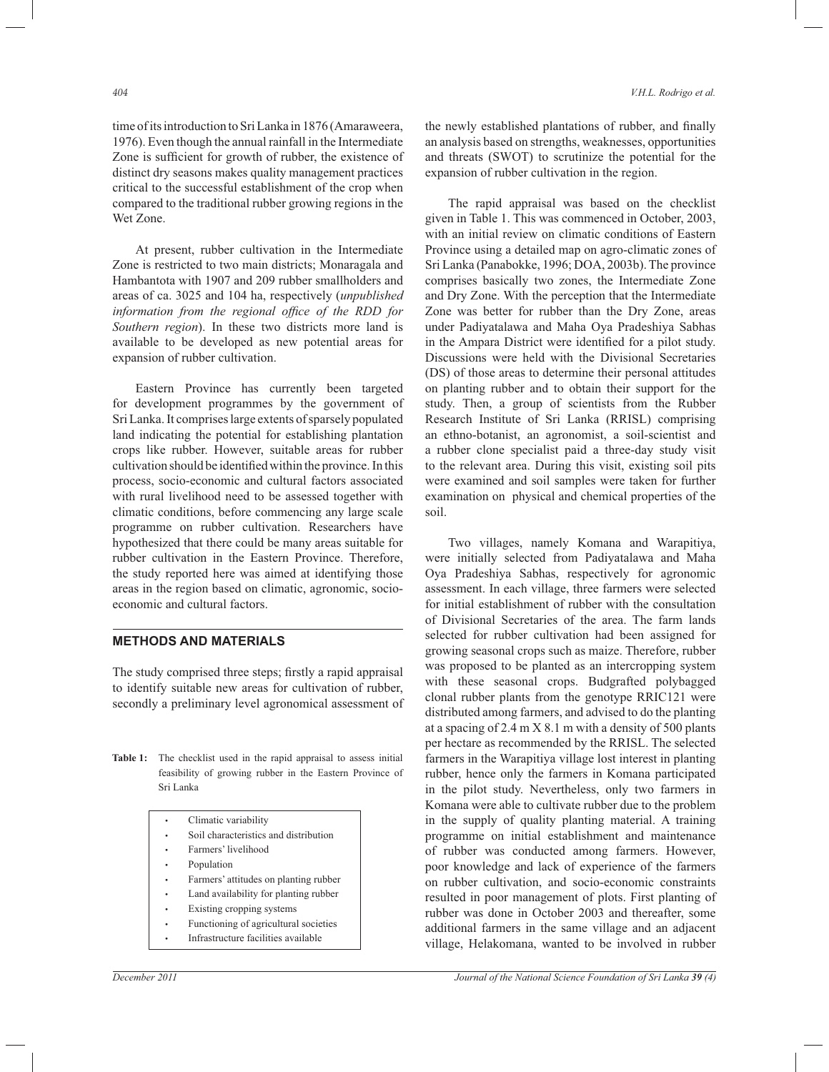time of its introduction to Sri Lanka in 1876 (Amaraweera, 1976). Even though the annual rainfall in the Intermediate Zone is sufficient for growth of rubber, the existence of distinct dry seasons makes quality management practices critical to the successful establishment of the crop when compared to the traditional rubber growing regions in the Wet Zone.

 At present, rubber cultivation in the Intermediate Zone is restricted to two main districts; Monaragala and Hambantota with 1907 and 209 rubber smallholders and areas of ca. 3025 and 104 ha, respectively (*unpublished information from the regional office of the RDD for Southern region*). In these two districts more land is available to be developed as new potential areas for expansion of rubber cultivation.

 Eastern Province has currently been targeted for development programmes by the government of Sri Lanka. It comprises large extents of sparsely populated land indicating the potential for establishing plantation crops like rubber. However, suitable areas for rubber cultivation should be identified within the province. In this process, socio-economic and cultural factors associated with rural livelihood need to be assessed together with climatic conditions, before commencing any large scale programme on rubber cultivation. Researchers have hypothesized that there could be many areas suitable for rubber cultivation in the Eastern Province. Therefore, the study reported here was aimed at identifying those areas in the region based on climatic, agronomic, socioeconomic and cultural factors.

The study comprised three steps; firstly a rapid appraisal to identify suitable new areas for cultivation of rubber, secondly a preliminary level agronomical assessment of

Table 1: The checklist used in the rapid appraisal to assess initial feasibility of growing rubber in the Eastern Province of Sri Lanka

| Climatic variability                     |
|------------------------------------------|
| Soil characteristics and distribution    |
| Farmers' livelihood                      |
| Population                               |
| Farmers' attitudes on planting rubber    |
| Land availability for planting rubber    |
| Existing cropping systems                |
| $E$ unationing of agricultural conjetios |

**•** Functioning of agricultural societies Infrastructure facilities available

the newly established plantations of rubber, and finally an analysis based on strengths, weaknesses, opportunities and threats (SWOT) to scrutinize the potential for the expansion of rubber cultivation in the region.

 The rapid appraisal was based on the checklist given in Table 1. This was commenced in October, 2003, with an initial review on climatic conditions of Eastern Province using a detailed map on agro-climatic zones of Sri Lanka (Panabokke, 1996; DOA, 2003b). The province comprises basically two zones, the Intermediate Zone and Dry Zone. With the perception that the Intermediate Zone was better for rubber than the Dry Zone, areas under Padiyatalawa and Maha Oya Pradeshiya Sabhas in the Ampara District were identified for a pilot study. Discussions were held with the Divisional Secretaries (DS) of those areas to determine their personal attitudes on planting rubber and to obtain their support for the study. Then, a group of scientists from the Rubber Research Institute of Sri Lanka (RRISL) comprising an ethno-botanist, an agronomist, a soil-scientist and a rubber clone specialist paid a three-day study visit to the relevant area. During this visit, existing soil pits were examined and soil samples were taken for further examination on physical and chemical properties of the soil.

 Two villages, namely Komana and Warapitiya, were initially selected from Padiyatalawa and Maha Oya Pradeshiya Sabhas, respectively for agronomic assessment. In each village, three farmers were selected for initial establishment of rubber with the consultation of Divisional Secretaries of the area. The farm lands selected for rubber cultivation had been assigned for growing seasonal crops such as maize. Therefore, rubber was proposed to be planted as an intercropping system with these seasonal crops. Budgrafted polybagged clonal rubber plants from the genotype RRIC121 were distributed among farmers, and advised to do the planting at a spacing of 2.4 m X 8.1 m with a density of 500 plants per hectare as recommended by the RRISL. The selected farmers in the Warapitiya village lost interest in planting rubber, hence only the farmers in Komana participated in the pilot study. Nevertheless, only two farmers in Komana were able to cultivate rubber due to the problem in the supply of quality planting material. A training programme on initial establishment and maintenance of rubber was conducted among farmers. However, poor knowledge and lack of experience of the farmers on rubber cultivation, and socio-economic constraints resulted in poor management of plots. First planting of rubber was done in October 2003 and thereafter, some additional farmers in the same village and an adjacent village, Helakomana, wanted to be involved in rubber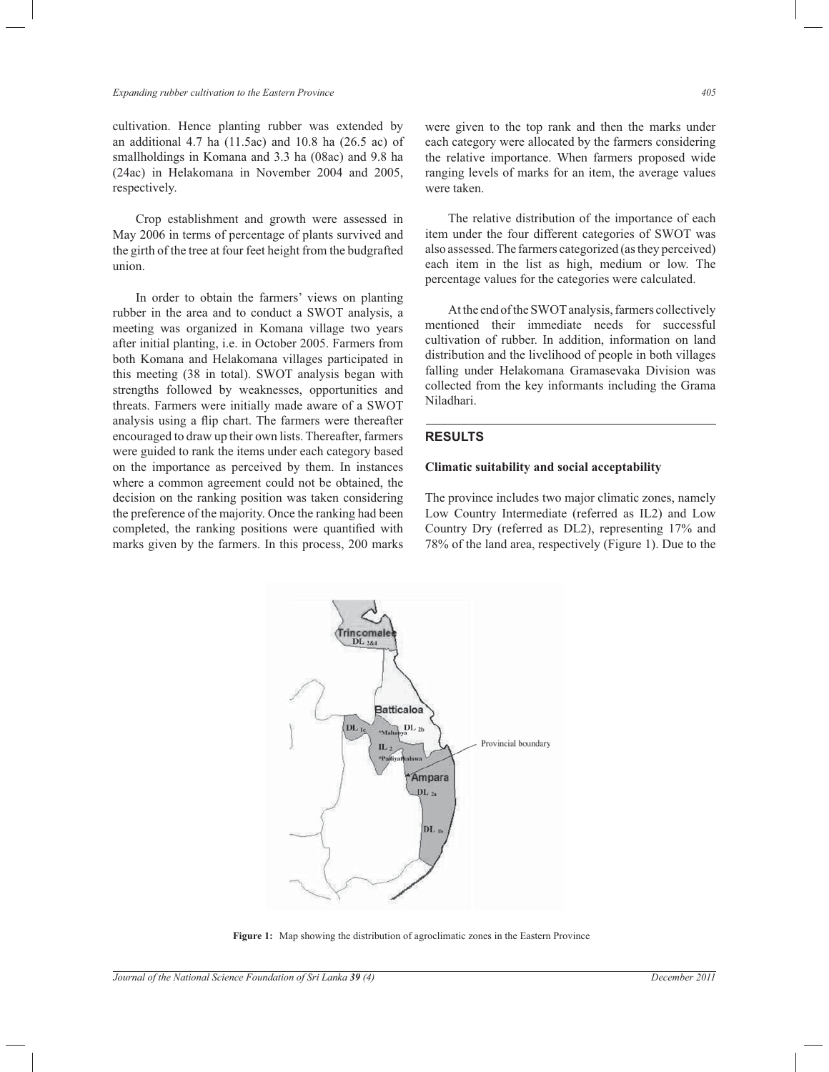cultivation. Hence planting rubber was extended by an additional 4.7 ha (11.5ac) and 10.8 ha (26.5 ac) of smallholdings in Komana and 3.3 ha (08ac) and 9.8 ha (24ac) in Helakomana in November 2004 and 2005, respectively.

 Crop establishment and growth were assessed in May 2006 in terms of percentage of plants survived and the girth of the tree at four feet height from the budgrafted union.

 In order to obtain the farmers' views on planting rubber in the area and to conduct a SWOT analysis, a meeting was organized in Komana village two years after initial planting, i.e. in October 2005. Farmers from both Komana and Helakomana villages participated in this meeting (38 in total). SWOT analysis began with strengths followed by weaknesses, opportunities and threats. Farmers were initially made aware of a SWOT analysis using a flip chart. The farmers were thereafter encouraged to draw up their own lists. Thereafter, farmers were guided to rank the items under each category based on the importance as perceived by them. In instances where a common agreement could not be obtained, the decision on the ranking position was taken considering the preference of the majority. Once the ranking had been completed, the ranking positions were quantified with marks given by the farmers. In this process, 200 marks

were given to the top rank and then the marks under each category were allocated by the farmers considering the relative importance. When farmers proposed wide ranging levels of marks for an item, the average values were taken.

 The relative distribution of the importance of each item under the four different categories of SWOT was also assessed. The farmers categorized (as they perceived) each item in the list as high, medium or low. The percentage values for the categories were calculated.

 At the end of the SWOT analysis, farmers collectively mentioned their immediate needs for successful cultivation of rubber. In addition, information on land distribution and the livelihood of people in both villages falling under Helakomana Gramasevaka Division was collected from the key informants including the Grama Niladhari.

### **RESULTS**

### **Climatic suitability and social acceptability**

The province includes two major climatic zones, namely Low Country Intermediate (referred as IL2) and Low Country Dry (referred as DL2), representing 17% and 78% of the land area, respectively (Figure 1). Due to the



**Figure 1:** Map showing the distribution of agroclimatic zones in the Eastern Province

*Journal of the National Science Foundation of Sri Lanka 39 (4) December 2011*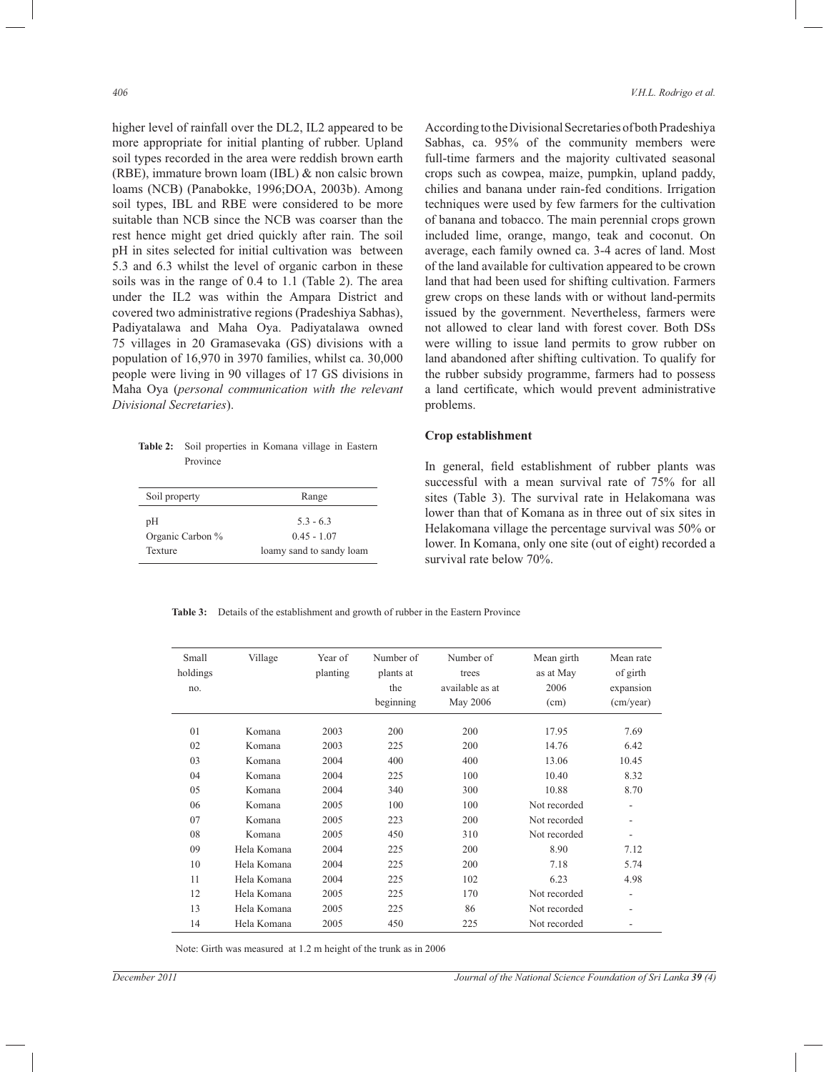higher level of rainfall over the DL2, IL2 appeared to be more appropriate for initial planting of rubber. Upland soil types recorded in the area were reddish brown earth (RBE), immature brown loam (IBL) & non calsic brown loams (NCB) (Panabokke, 1996;DOA, 2003b). Among soil types, IBL and RBE were considered to be more suitable than NCB since the NCB was coarser than the rest hence might get dried quickly after rain. The soil pH in sites selected for initial cultivation was between 5.3 and 6.3 whilst the level of organic carbon in these soils was in the range of 0.4 to 1.1 (Table 2). The area under the IL2 was within the Ampara District and covered two administrative regions (Pradeshiya Sabhas), Padiyatalawa and Maha Oya. Padiyatalawa owned 75 villages in 20 Gramasevaka (GS) divisions with a population of 16,970 in 3970 families, whilst ca. 30,000 people were living in 90 villages of 17 GS divisions in Maha Oya (*personal communication with the relevant Divisional Secretaries*).

**Table 2:** Soil properties in Komana village in Eastern Province

| Soil property    | Range                    |
|------------------|--------------------------|
| рH               | $53 - 63$                |
| Organic Carbon % | $0.45 - 1.07$            |
| Texture          | loamy sand to sandy loam |

According to the Divisional Secretaries of both Pradeshiya Sabhas, ca. 95% of the community members were full-time farmers and the majority cultivated seasonal crops such as cowpea, maize, pumpkin, upland paddy, chilies and banana under rain-fed conditions. Irrigation techniques were used by few farmers for the cultivation of banana and tobacco. The main perennial crops grown included lime, orange, mango, teak and coconut. On average, each family owned ca. 3-4 acres of land. Most of the land available for cultivation appeared to be crown land that had been used for shifting cultivation. Farmers grew crops on these lands with or without land-permits issued by the government. Nevertheless, farmers were not allowed to clear land with forest cover. Both DSs were willing to issue land permits to grow rubber on land abandoned after shifting cultivation. To qualify for the rubber subsidy programme, farmers had to possess a land certificate, which would prevent administrative problems.

#### **Crop establishment**

In general, field establishment of rubber plants was successful with a mean survival rate of 75% for all sites (Table 3). The survival rate in Helakomana was lower than that of Komana as in three out of six sites in Helakomana village the percentage survival was 50% or lower. In Komana, only one site (out of eight) recorded a survival rate below 70%.

**Table 3:** Details of the establishment and growth of rubber in the Eastern Province

| Small<br>holdings<br>no. | Village     | Year of<br>planting | Number of<br>plants at<br>the<br>beginning | Number of<br>trees<br>available as at<br>May 2006 | Mean girth<br>as at May<br>2006<br>(cm) | Mean rate<br>of girth<br>expansion<br>$\text{(cm/year)}$ |
|--------------------------|-------------|---------------------|--------------------------------------------|---------------------------------------------------|-----------------------------------------|----------------------------------------------------------|
| 01                       | Komana      | 2003                | 200                                        | 200                                               | 17.95                                   | 7.69                                                     |
| 02                       | Komana      | 2003                | 225                                        | 200                                               | 14.76                                   | 6.42                                                     |
| 03                       | Komana      | 2004                | 400                                        | 400                                               | 13.06                                   | 10.45                                                    |
| 04                       | Komana      | 2004                | 225                                        | 100                                               | 10.40                                   | 8.32                                                     |
| 05                       | Komana      | 2004                | 340                                        | 300                                               | 10.88                                   | 8.70                                                     |
| 06                       | Komana      | 2005                | 100                                        | 100                                               | Not recorded                            | $\overline{\phantom{a}}$                                 |
| 07                       | Komana      | 2005                | 223                                        | 200                                               | Not recorded                            | $\overline{\phantom{a}}$                                 |
| 08                       | Komana      | 2005                | 450                                        | 310                                               | Not recorded                            | $\overline{\phantom{a}}$                                 |
| 09                       | Hela Komana | 2004                | 225                                        | 200                                               | 8.90                                    | 7.12                                                     |
| 10                       | Hela Komana | 2004                | 225                                        | 200                                               | 7.18                                    | 5.74                                                     |
| 11                       | Hela Komana | 2004                | 225                                        | 102                                               | 6.23                                    | 4.98                                                     |
| 12                       | Hela Komana | 2005                | 225                                        | 170                                               | Not recorded                            | $\overline{\phantom{0}}$                                 |
| 13                       | Hela Komana | 2005                | 225                                        | 86                                                | Not recorded                            | $\overline{\phantom{a}}$                                 |
| 14                       | Hela Komana | 2005                | 450                                        | 225                                               | Not recorded                            |                                                          |

Note: Girth was measured at 1.2 m height of the trunk as in 2006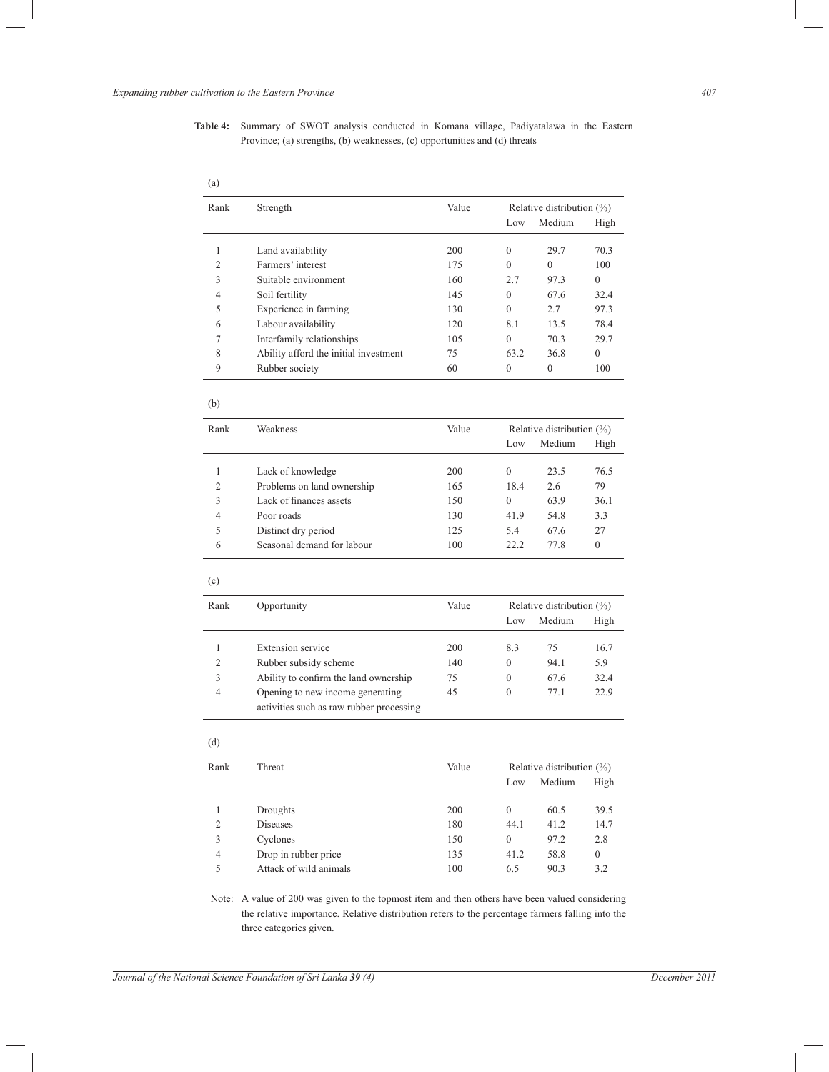| <b>Table 4:</b> Summary of SWOT analysis conducted in Komana village, Padiyatalawa in the Eastern |  |  |  |  |  |
|---------------------------------------------------------------------------------------------------|--|--|--|--|--|
| Province; (a) strengths, (b) weaknesses, (c) opportunities and (d) threats                        |  |  |  |  |  |

| (a)            |                                       |       |                              |                              |              |  |
|----------------|---------------------------------------|-------|------------------------------|------------------------------|--------------|--|
| Rank           | Strength                              | Value | Relative distribution $(\%)$ |                              |              |  |
|                |                                       |       | Low                          | Medium                       | High         |  |
| 1              | Land availability                     | 200   | $\theta$                     | 29.7                         | 70.3         |  |
| $\overline{c}$ | Farmers' interest                     | 175   | $\theta$                     | $\theta$                     | 100          |  |
| 3              | Suitable environment                  | 160   | 2.7                          | 97.3                         | $\theta$     |  |
| 4              | Soil fertility                        | 145   | $\Omega$                     | 67.6                         | 32.4         |  |
| 5              | Experience in farming                 | 130   | $\Omega$                     | 2.7                          | 97.3         |  |
| 6              | Labour availability                   | 120   | 8.1                          | 13.5                         | 78.4         |  |
| 7              | Interfamily relationships             | 105   | $\theta$                     | 70.3                         | 29.7         |  |
| 8              | Ability afford the initial investment | 75    | 63.2                         | 36.8                         | $\theta$     |  |
| 9              | Rubber society                        | 60    | $\mathbf{0}$                 | $\boldsymbol{0}$             | 100          |  |
| (b)            |                                       |       |                              |                              |              |  |
| Rank           | Weakness                              | Value | Relative distribution $(\%)$ |                              |              |  |
|                |                                       |       | Low                          | Medium                       | High         |  |
| 1              | Lack of knowledge                     | 200   | $\theta$                     | 23.5                         | 76.5         |  |
| $\overline{c}$ | Problems on land ownership            | 165   | 18.4                         | 2.6                          | 79           |  |
| 3              | Lack of finances assets               | 150   | $\theta$                     | 63.9                         | 36.1         |  |
| 4              | Poor roads                            | 130   | 41.9                         | 54.8                         | 3.3          |  |
| 5              | Distinct dry period                   | 125   | 5.4                          | 67.6                         | 27           |  |
| 6              | Seasonal demand for labour            | 100   | 22.2                         | 77.8                         | $\mathbf{0}$ |  |
| (c)            |                                       |       |                              |                              |              |  |
| Rank           | Opportunity                           | Value |                              | Relative distribution $(\%)$ |              |  |
|                |                                       |       | Low                          | Medium                       | High         |  |
| 1              | <b>Extension</b> service              | 200   | 8.3                          | 75                           | 16.7         |  |
| $\overline{2}$ | Rubber subsidy scheme                 | 140   | $\theta$                     | 94.1                         | 5.9          |  |
| 3              | Ability to confirm the land ownership | 75    | $\theta$                     | 67.6                         | 32.4         |  |

### (d)

| Rank           | Threat                 | Value |              | Relative distribution $(\%)$ |              |
|----------------|------------------------|-------|--------------|------------------------------|--------------|
|                |                        |       | Low          | Medium                       | High         |
|                |                        |       |              |                              |              |
|                | Droughts               | 200   | $\mathbf{0}$ | 60.5                         | 39.5         |
| 2              | Diseases               | 180   | 44.1         | 41.2                         | 14.7         |
| 3              | Cyclones               | 150   | $\theta$     | 97.2                         | 2.8          |
| $\overline{4}$ | Drop in rubber price   | 135   | 41.2         | 58.8                         | $\mathbf{0}$ |
| 5              | Attack of wild animals | 100   | 6.5          | 90.3                         | 3.2          |
|                |                        |       |              |                              |              |

4 Opening to new income generating 45 0 77.1 22.9

activities such as raw rubber processing

 Note: A value of 200 was given to the topmost item and then others have been valued considering the relative importance. Relative distribution refers to the percentage farmers falling into the three categories given.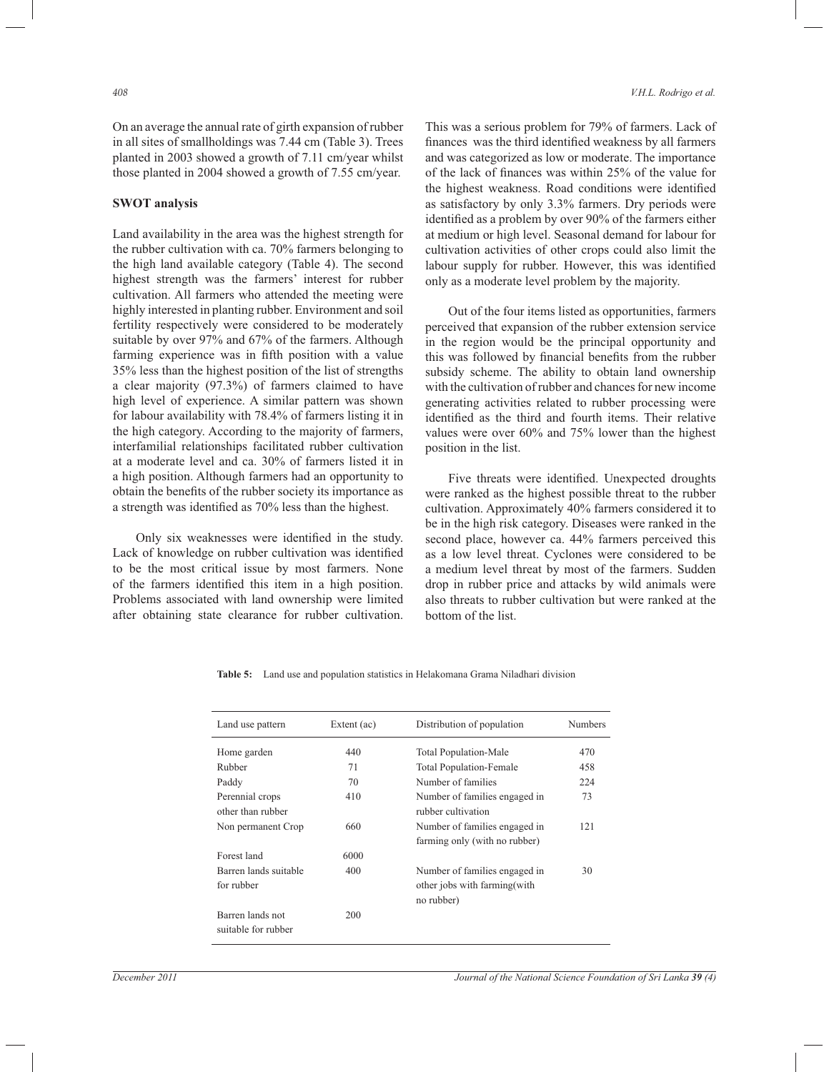On an average the annual rate of girth expansion of rubber in all sites of smallholdings was 7.44 cm (Table 3). Trees planted in 2003 showed a growth of 7.11 cm/year whilst those planted in 2004 showed a growth of 7.55 cm/year.

#### **SWOT analysis**

Land availability in the area was the highest strength for the rubber cultivation with ca. 70% farmers belonging to the high land available category (Table 4). The second highest strength was the farmers' interest for rubber cultivation. All farmers who attended the meeting were highly interested in planting rubber. Environment and soil fertility respectively were considered to be moderately suitable by over 97% and 67% of the farmers. Although farming experience was in fifth position with a value 35% less than the highest position of the list of strengths a clear majority (97.3%) of farmers claimed to have high level of experience. A similar pattern was shown for labour availability with 78.4% of farmers listing it in the high category. According to the majority of farmers, interfamilial relationships facilitated rubber cultivation at a moderate level and ca. 30% of farmers listed it in a high position. Although farmers had an opportunity to obtain the benefits of the rubber society its importance as a strength was identified as 70% less than the highest.

 Only six weaknesses were identified in the study. Lack of knowledge on rubber cultivation was identified to be the most critical issue by most farmers. None of the farmers identified this item in a high position. Problems associated with land ownership were limited after obtaining state clearance for rubber cultivation.

This was a serious problem for 79% of farmers. Lack of finances was the third identified weakness by all farmers and was categorized as low or moderate. The importance of the lack of finances was within 25% of the value for the highest weakness. Road conditions were identified as satisfactory by only 3.3% farmers. Dry periods were identified as a problem by over 90% of the farmers either at medium or high level. Seasonal demand for labour for cultivation activities of other crops could also limit the labour supply for rubber. However, this was identified only as a moderate level problem by the majority.

 Out of the four items listed as opportunities, farmers perceived that expansion of the rubber extension service in the region would be the principal opportunity and this was followed by financial benefits from the rubber subsidy scheme. The ability to obtain land ownership with the cultivation of rubber and chances for new income generating activities related to rubber processing were identified as the third and fourth items. Their relative values were over 60% and 75% lower than the highest position in the list.

 Five threats were identified. Unexpected droughts were ranked as the highest possible threat to the rubber cultivation. Approximately 40% farmers considered it to be in the high risk category. Diseases were ranked in the second place, however ca. 44% farmers perceived this as a low level threat. Cyclones were considered to be a medium level threat by most of the farmers. Sudden drop in rubber price and attacks by wild animals were also threats to rubber cultivation but were ranked at the bottom of the list.

| Land use pattern                        | Extent $(ac)$ | Distribution of population                                                   | Numbers |
|-----------------------------------------|---------------|------------------------------------------------------------------------------|---------|
| Home garden                             | 440           | <b>Total Population-Male</b>                                                 | 470     |
| Rubber                                  | 71            | <b>Total Population-Female</b>                                               | 458     |
| Paddy                                   | 70            | Number of families                                                           | 224     |
| Perennial crops<br>other than rubber    | 410           | Number of families engaged in<br>rubber cultivation                          | 73      |
| Non permanent Crop                      | 660           | Number of families engaged in<br>farming only (with no rubber)               | 121     |
| Forest land                             | 6000          |                                                                              |         |
| Barren lands suitable<br>for rubber     | 400           | Number of families engaged in<br>other jobs with farming (with<br>no rubber) | 30      |
| Barren lands not<br>suitable for rubber | 200           |                                                                              |         |

**Table 5:** Land use and population statistics in Helakomana Grama Niladhari division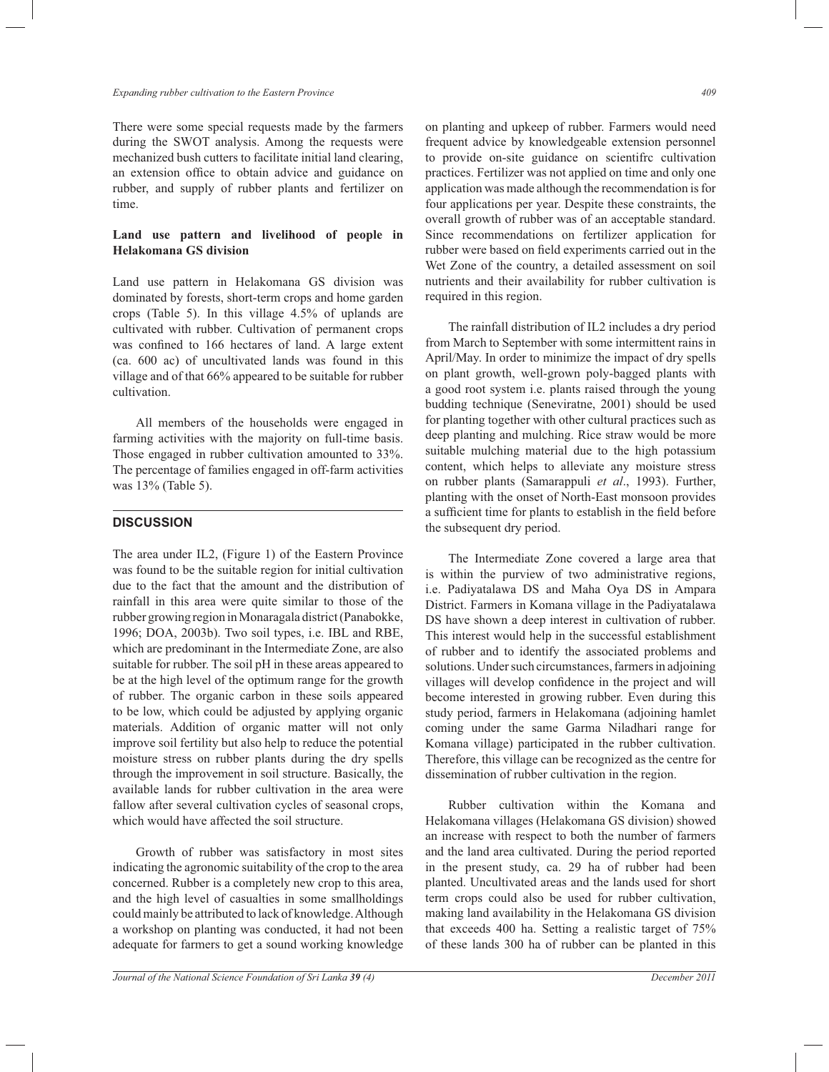There were some special requests made by the farmers during the SWOT analysis. Among the requests were mechanized bush cutters to facilitate initial land clearing, an extension office to obtain advice and guidance on rubber, and supply of rubber plants and fertilizer on time.

## **Land use pattern and livelihood of people in Helakomana GS division**

Land use pattern in Helakomana GS division was dominated by forests, short-term crops and home garden crops (Table 5). In this village 4.5% of uplands are cultivated with rubber. Cultivation of permanent crops was confined to 166 hectares of land. A large extent (ca. 600 ac) of uncultivated lands was found in this village and of that 66% appeared to be suitable for rubber cultivation.

 All members of the households were engaged in farming activities with the majority on full-time basis. Those engaged in rubber cultivation amounted to 33%. The percentage of families engaged in off-farm activities was 13% (Table 5).

# **DISCUSSION**

The area under IL2, (Figure 1) of the Eastern Province was found to be the suitable region for initial cultivation due to the fact that the amount and the distribution of rainfall in this area were quite similar to those of the rubber growing region in Monaragala district (Panabokke, 1996; DOA, 2003b). Two soil types, i.e. IBL and RBE, which are predominant in the Intermediate Zone, are also suitable for rubber. The soil pH in these areas appeared to be at the high level of the optimum range for the growth of rubber. The organic carbon in these soils appeared to be low, which could be adjusted by applying organic materials. Addition of organic matter will not only improve soil fertility but also help to reduce the potential moisture stress on rubber plants during the dry spells through the improvement in soil structure. Basically, the available lands for rubber cultivation in the area were fallow after several cultivation cycles of seasonal crops, which would have affected the soil structure.

 Growth of rubber was satisfactory in most sites indicating the agronomic suitability of the crop to the area concerned. Rubber is a completely new crop to this area, and the high level of casualties in some smallholdings could mainly be attributed to lack of knowledge. Although a workshop on planting was conducted, it had not been adequate for farmers to get a sound working knowledge

on planting and upkeep of rubber. Farmers would need frequent advice by knowledgeable extension personnel to provide on-site guidance on scientifrc cultivation practices. Fertilizer was not applied on time and only one application was made although the recommendation is for four applications per year. Despite these constraints, the overall growth of rubber was of an acceptable standard.

Since recommendations on fertilizer application for rubber were based on field experiments carried out in the Wet Zone of the country, a detailed assessment on soil nutrients and their availability for rubber cultivation is required in this region.

 The rainfall distribution of IL2 includes a dry period from March to September with some intermittent rains in April/May. In order to minimize the impact of dry spells on plant growth, well-grown poly-bagged plants with a good root system i.e. plants raised through the young budding technique (Seneviratne, 2001) should be used for planting together with other cultural practices such as deep planting and mulching. Rice straw would be more suitable mulching material due to the high potassium content, which helps to alleviate any moisture stress on rubber plants (Samarappuli *et al*., 1993). Further, planting with the onset of North-East monsoon provides a sufficient time for plants to establish in the field before the subsequent dry period.

 The Intermediate Zone covered a large area that is within the purview of two administrative regions, i.e. Padiyatalawa DS and Maha Oya DS in Ampara District. Farmers in Komana village in the Padiyatalawa DS have shown a deep interest in cultivation of rubber. This interest would help in the successful establishment of rubber and to identify the associated problems and solutions. Under such circumstances, farmers in adjoining villages will develop confidence in the project and will become interested in growing rubber. Even during this study period, farmers in Helakomana (adjoining hamlet coming under the same Garma Niladhari range for Komana village) participated in the rubber cultivation. Therefore, this village can be recognized as the centre for dissemination of rubber cultivation in the region.

 Rubber cultivation within the Komana and Helakomana villages (Helakomana GS division) showed an increase with respect to both the number of farmers and the land area cultivated. During the period reported in the present study, ca. 29 ha of rubber had been planted. Uncultivated areas and the lands used for short term crops could also be used for rubber cultivation, making land availability in the Helakomana GS division that exceeds 400 ha. Setting a realistic target of 75% of these lands 300 ha of rubber can be planted in this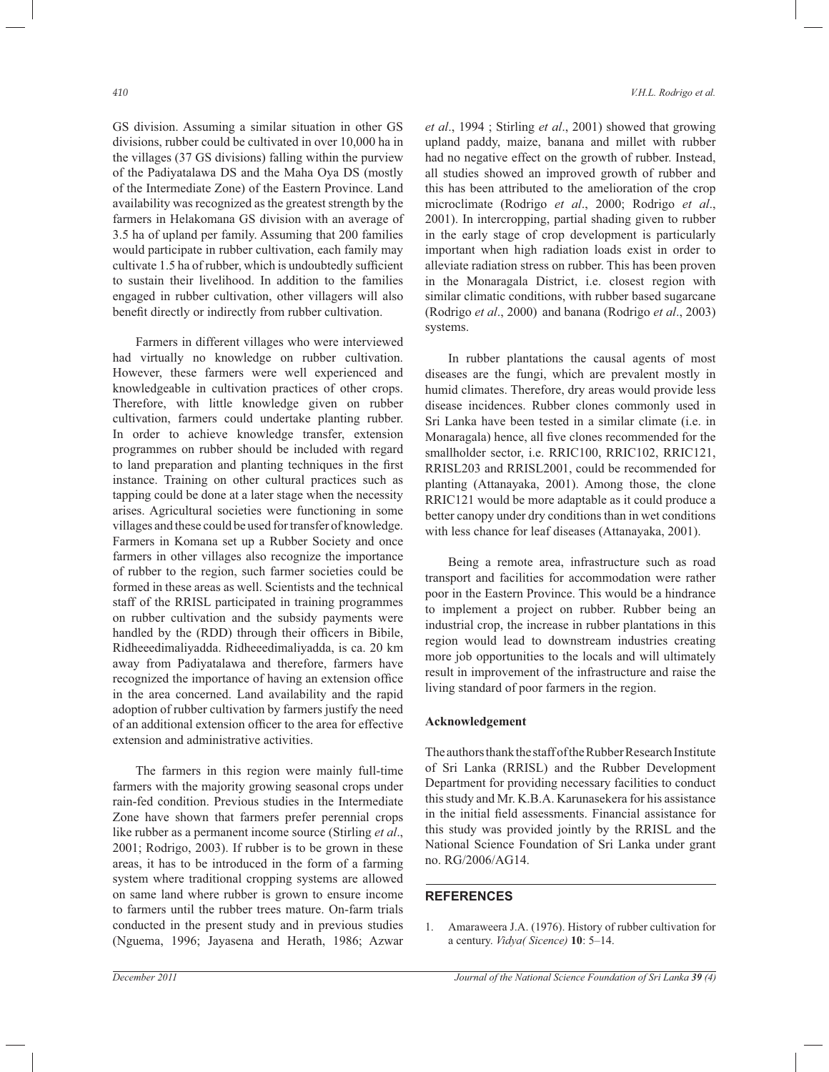GS division. Assuming a similar situation in other GS divisions, rubber could be cultivated in over 10,000 ha in the villages (37 GS divisions) falling within the purview of the Padiyatalawa DS and the Maha Oya DS (mostly of the Intermediate Zone) of the Eastern Province. Land availability was recognized as the greatest strength by the farmers in Helakomana GS division with an average of 3.5 ha of upland per family. Assuming that 200 families would participate in rubber cultivation, each family may cultivate 1.5 ha of rubber, which is undoubtedly sufficient to sustain their livelihood. In addition to the families engaged in rubber cultivation, other villagers will also benefit directly or indirectly from rubber cultivation.

 Farmers in different villages who were interviewed had virtually no knowledge on rubber cultivation. However, these farmers were well experienced and knowledgeable in cultivation practices of other crops. Therefore, with little knowledge given on rubber cultivation, farmers could undertake planting rubber. In order to achieve knowledge transfer, extension programmes on rubber should be included with regard to land preparation and planting techniques in the first instance. Training on other cultural practices such as tapping could be done at a later stage when the necessity arises. Agricultural societies were functioning in some villages and these could be used for transfer of knowledge. Farmers in Komana set up a Rubber Society and once farmers in other villages also recognize the importance of rubber to the region, such farmer societies could be formed in these areas as well. Scientists and the technical staff of the RRISL participated in training programmes on rubber cultivation and the subsidy payments were handled by the (RDD) through their officers in Bibile, Ridheeedimaliyadda. Ridheeedimaliyadda, is ca. 20 km away from Padiyatalawa and therefore, farmers have recognized the importance of having an extension office in the area concerned. Land availability and the rapid adoption of rubber cultivation by farmers justify the need of an additional extension officer to the area for effective extension and administrative activities.

 The farmers in this region were mainly full-time farmers with the majority growing seasonal crops under rain-fed condition. Previous studies in the Intermediate Zone have shown that farmers prefer perennial crops like rubber as a permanent income source (Stirling *et al*., 2001; Rodrigo, 2003). If rubber is to be grown in these areas, it has to be introduced in the form of a farming system where traditional cropping systems are allowed on same land where rubber is grown to ensure income to farmers until the rubber trees mature. On-farm trials conducted in the present study and in previous studies (Nguema, 1996; Jayasena and Herath, 1986; Azwar

*et al*., 1994 ; Stirling *et al*., 2001) showed that growing upland paddy, maize, banana and millet with rubber had no negative effect on the growth of rubber. Instead, all studies showed an improved growth of rubber and this has been attributed to the amelioration of the crop microclimate (Rodrigo *et al*., 2000; Rodrigo *et al*., 2001). In intercropping, partial shading given to rubber in the early stage of crop development is particularly important when high radiation loads exist in order to alleviate radiation stress on rubber. This has been proven in the Monaragala District, i.e. closest region with similar climatic conditions, with rubber based sugarcane (Rodrigo *et al*., 2000) and banana (Rodrigo *et al*., 2003) systems.

 In rubber plantations the causal agents of most diseases are the fungi, which are prevalent mostly in humid climates. Therefore, dry areas would provide less disease incidences. Rubber clones commonly used in Sri Lanka have been tested in a similar climate (i.e. in Monaragala) hence, all five clones recommended for the smallholder sector, i.e. RRIC100, RRIC102, RRIC121, RRISL203 and RRISL2001, could be recommended for planting (Attanayaka, 2001). Among those, the clone RRIC121 would be more adaptable as it could produce a better canopy under dry conditions than in wet conditions with less chance for leaf diseases (Attanayaka, 2001).

 Being a remote area, infrastructure such as road transport and facilities for accommodation were rather poor in the Eastern Province. This would be a hindrance to implement a project on rubber. Rubber being an industrial crop, the increase in rubber plantations in this region would lead to downstream industries creating more job opportunities to the locals and will ultimately result in improvement of the infrastructure and raise the living standard of poor farmers in the region.

#### **Acknowledgement**

The authors thank the staff of the Rubber Research Institute of Sri Lanka (RRISL) and the Rubber Development Department for providing necessary facilities to conduct this study and Mr. K.B.A. Karunasekera for his assistance in the initial field assessments. Financial assistance for this study was provided jointly by the RRISL and the National Science Foundation of Sri Lanka under grant no. RG/2006/AG14.

1. Amaraweera J.A. (1976). History of rubber cultivation for a century. *Vidya( Sicence)* **10**: 5–14.